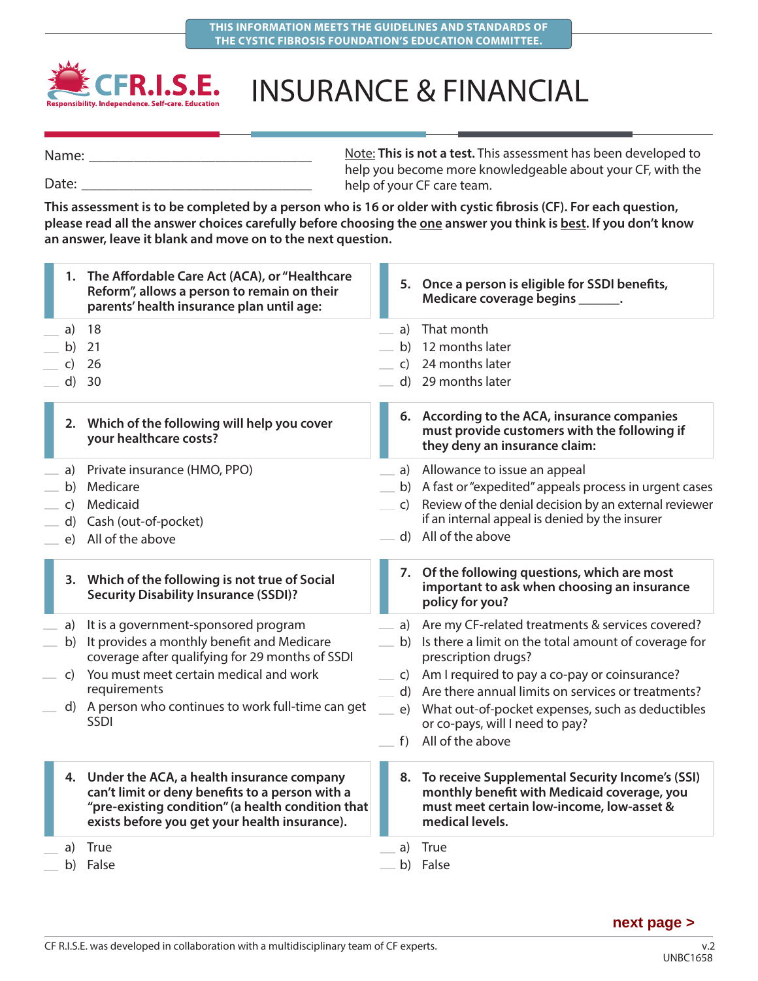

## INSURANCE & FINANCIAL

Note: **This is not a test.** This assessment has been developed to help you become more knowledgeable about your CF, with the help of your CF care team. Name: Date:

**This assessment is to be completed by a person who is 16 or older with cystic fibrosis (CF). For each question,**  please read all the answer choices carefully before choosing the one answer you think is best. If you don't know **an answer, leave it blank and move on to the next question.**

|    | 1. The Affordable Care Act (ACA), or "Healthcare<br>Reform", allows a person to remain on their<br>parents' health insurance plan until age:                                                          |              | 5. Once a person is eligible for SSDI benefits,<br>Medicare coverage begins _______.                                                                              |
|----|-------------------------------------------------------------------------------------------------------------------------------------------------------------------------------------------------------|--------------|-------------------------------------------------------------------------------------------------------------------------------------------------------------------|
| a) | 18                                                                                                                                                                                                    | a)           | That month                                                                                                                                                        |
| b) | 21                                                                                                                                                                                                    | b)           | 12 months later                                                                                                                                                   |
| C) | 26                                                                                                                                                                                                    | $\mathsf{C}$ | 24 months later                                                                                                                                                   |
| d) | 30                                                                                                                                                                                                    |              | d) 29 months later                                                                                                                                                |
|    | 2. Which of the following will help you cover<br>your healthcare costs?                                                                                                                               |              | 6. According to the ACA, insurance companies<br>must provide customers with the following if<br>they deny an insurance claim:                                     |
|    | a) Private insurance (HMO, PPO)                                                                                                                                                                       | a)           | Allowance to issue an appeal                                                                                                                                      |
| b) | Medicare                                                                                                                                                                                              |              | b) A fast or "expedited" appeals process in urgent cases                                                                                                          |
| C) | Medicaid                                                                                                                                                                                              |              | c) Review of the denial decision by an external reviewer                                                                                                          |
| d) | Cash (out-of-pocket)                                                                                                                                                                                  |              | if an internal appeal is denied by the insurer                                                                                                                    |
| e) | All of the above                                                                                                                                                                                      |              | d) All of the above                                                                                                                                               |
|    | 3. Which of the following is not true of Social<br><b>Security Disability Insurance (SSDI)?</b>                                                                                                       |              | 7. Of the following questions, which are most<br>important to ask when choosing an insurance<br>policy for you?                                                   |
| a) | It is a government-sponsored program                                                                                                                                                                  | a)           | Are my CF-related treatments & services covered?                                                                                                                  |
| b) | It provides a monthly benefit and Medicare<br>coverage after qualifying for 29 months of SSDI                                                                                                         |              | b) Is there a limit on the total amount of coverage for<br>prescription drugs?                                                                                    |
| C) | You must meet certain medical and work                                                                                                                                                                | C)           | Am I required to pay a co-pay or coinsurance?                                                                                                                     |
|    | requirements                                                                                                                                                                                          |              | d) Are there annual limits on services or treatments?                                                                                                             |
|    | d) A person who continues to work full-time can get<br>SSDI                                                                                                                                           |              | e) What out-of-pocket expenses, such as deductibles<br>or co-pays, will I need to pay?                                                                            |
|    |                                                                                                                                                                                                       | f)           | All of the above                                                                                                                                                  |
|    | 4. Under the ACA, a health insurance company<br>can't limit or deny benefits to a person with a<br>"pre-existing condition" (a health condition that<br>exists before you get your health insurance). |              | 8. To receive Supplemental Security Income's (SSI)<br>monthly benefit with Medicaid coverage, you<br>must meet certain low-income, low-asset &<br>medical levels. |
| a) | True                                                                                                                                                                                                  | a)           | True                                                                                                                                                              |
|    | b) False                                                                                                                                                                                              |              | b) False                                                                                                                                                          |
|    |                                                                                                                                                                                                       |              |                                                                                                                                                                   |